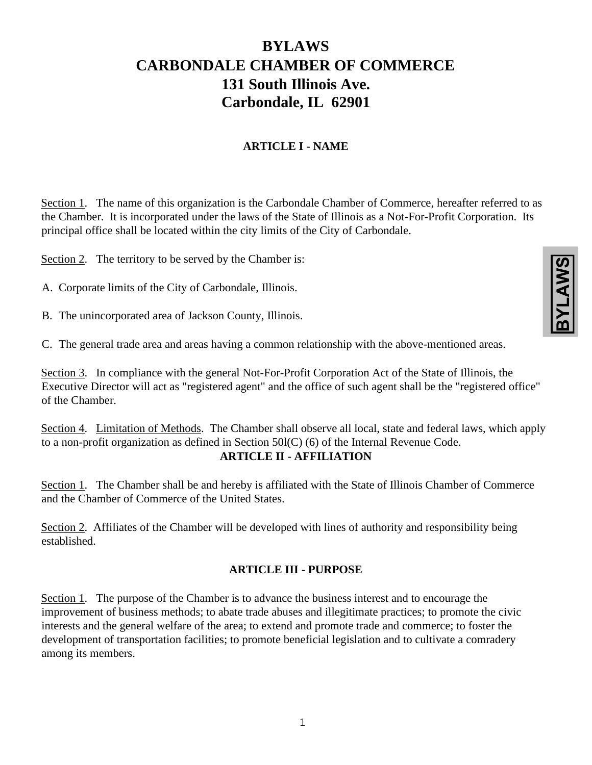# **BYLAWS CARBONDALE CHAMBER OF COMMERCE 131 South Illinois Ave. Carbondale, IL 62901**

# **ARTICLE I - NAME**

Section 1. The name of this organization is the Carbondale Chamber of Commerce, hereafter referred to as the Chamber. It is incorporated under the laws of the State of Illinois as a Not-For-Profit Corporation. Its principal office shall be located within the city limits of the City of Carbondale.

Section 2. The territory to be served by the Chamber is:

- A. Corporate limits of the City of Carbondale, Illinois.
- B. The unincorporated area of Jackson County, Illinois.

C. The general trade area and areas having a common relationship with the above-mentioned areas.

Section 3. In compliance with the general Not-For-Profit Corporation Act of the State of Illinois, the Executive Director will act as "registered agent" and the office of such agent shall be the "registered office" of the Chamber.

Section 4. Limitation of Methods. The Chamber shall observe all local, state and federal laws, which apply to a non-profit organization as defined in Section 50l(C) (6) of the Internal Revenue Code. **ARTICLE II - AFFILIATION** 

Section 1. The Chamber shall be and hereby is affiliated with the State of Illinois Chamber of Commerce and the Chamber of Commerce of the United States.

Section 2. Affiliates of the Chamber will be developed with lines of authority and responsibility being established.

#### **ARTICLE III - PURPOSE**

Section 1. The purpose of the Chamber is to advance the business interest and to encourage the improvement of business methods; to abate trade abuses and illegitimate practices; to promote the civic interests and the general welfare of the area; to extend and promote trade and commerce; to foster the development of transportation facilities; to promote beneficial legislation and to cultivate a comradery among its members.

| ś | f<br>1 |
|---|--------|
|   |        |
|   |        |
|   |        |
|   |        |
|   |        |
|   |        |
|   |        |
|   |        |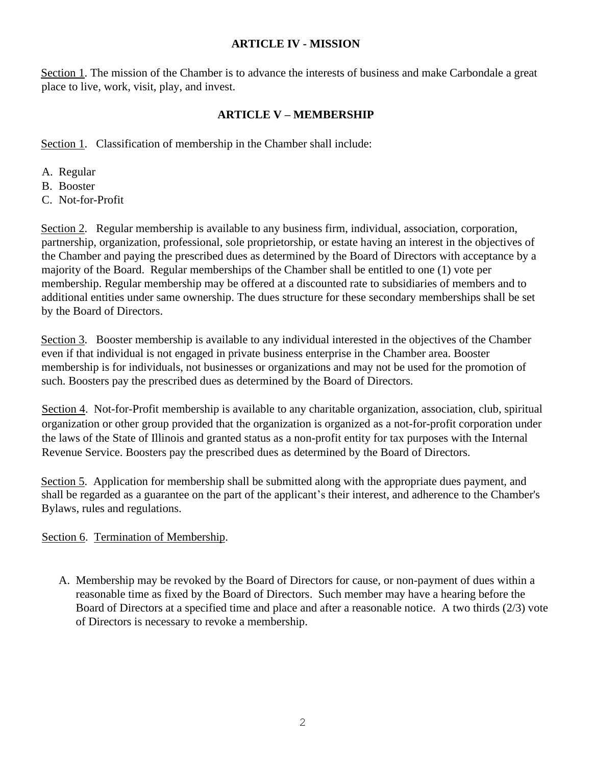#### **ARTICLE IV - MISSION**

Section 1. The mission of the Chamber is to advance the interests of business and make Carbondale a great place to live, work, visit, play, and invest.

#### **ARTICLE V – MEMBERSHIP**

Section 1. Classification of membership in the Chamber shall include:

- A. Regular
- B. Booster
- C. Not-for-Profit

Section 2. Regular membership is available to any business firm, individual, association, corporation, partnership, organization, professional, sole proprietorship, or estate having an interest in the objectives of the Chamber and paying the prescribed dues as determined by the Board of Directors with acceptance by a majority of the Board. Regular memberships of the Chamber shall be entitled to one (1) vote per membership. Regular membership may be offered at a discounted rate to subsidiaries of members and to additional entities under same ownership. The dues structure for these secondary memberships shall be set by the Board of Directors.

Section 3. Booster membership is available to any individual interested in the objectives of the Chamber even if that individual is not engaged in private business enterprise in the Chamber area. Booster membership is for individuals, not businesses or organizations and may not be used for the promotion of such. Boosters pay the prescribed dues as determined by the Board of Directors.

Section 4. Not-for-Profit membership is available to any charitable organization, association, club, spiritual organization or other group provided that the organization is organized as a not-for-profit corporation under the laws of the State of Illinois and granted status as a non-profit entity for tax purposes with the Internal Revenue Service. Boosters pay the prescribed dues as determined by the Board of Directors.

Section 5. Application for membership shall be submitted along with the appropriate dues payment, and shall be regarded as a guarantee on the part of the applicant's their interest, and adherence to the Chamber's Bylaws, rules and regulations.

#### Section 6. Termination of Membership.

A. Membership may be revoked by the Board of Directors for cause, or non-payment of dues within a reasonable time as fixed by the Board of Directors. Such member may have a hearing before the Board of Directors at a specified time and place and after a reasonable notice. A two thirds (2/3) vote of Directors is necessary to revoke a membership.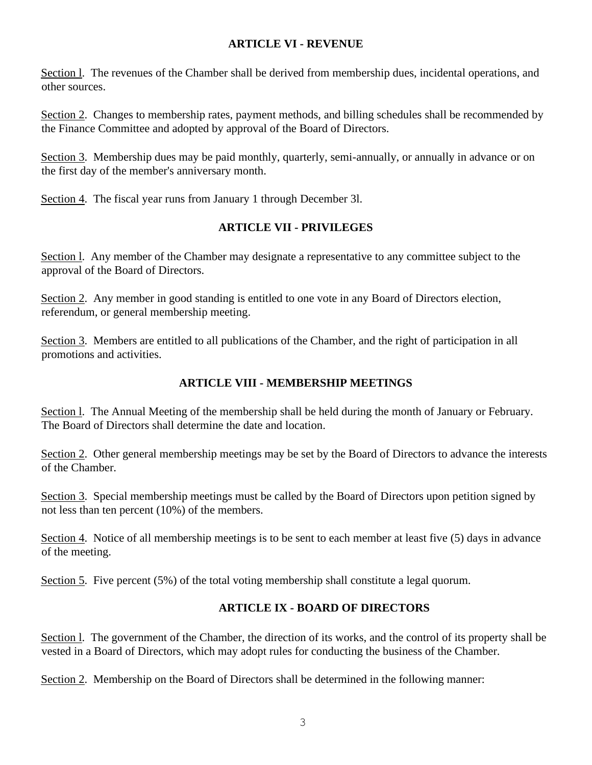#### **ARTICLE VI - REVENUE**

Section l. The revenues of the Chamber shall be derived from membership dues, incidental operations, and other sources.

Section 2. Changes to membership rates, payment methods, and billing schedules shall be recommended by the Finance Committee and adopted by approval of the Board of Directors.

Section 3. Membership dues may be paid monthly, quarterly, semi-annually, or annually in advance or on the first day of the member's anniversary month.

Section 4. The fiscal year runs from January 1 through December 3l.

# **ARTICLE VII - PRIVILEGES**

Section l. Any member of the Chamber may designate a representative to any committee subject to the approval of the Board of Directors.

Section 2. Any member in good standing is entitled to one vote in any Board of Directors election, referendum, or general membership meeting.

Section 3. Members are entitled to all publications of the Chamber, and the right of participation in all promotions and activities.

# **ARTICLE VIII - MEMBERSHIP MEETINGS**

Section l. The Annual Meeting of the membership shall be held during the month of January or February. The Board of Directors shall determine the date and location.

Section 2. Other general membership meetings may be set by the Board of Directors to advance the interests of the Chamber.

Section 3. Special membership meetings must be called by the Board of Directors upon petition signed by not less than ten percent (10%) of the members.

Section 4. Notice of all membership meetings is to be sent to each member at least five (5) days in advance of the meeting.

Section 5. Five percent (5%) of the total voting membership shall constitute a legal quorum.

# **ARTICLE IX - BOARD OF DIRECTORS**

Section 1. The government of the Chamber, the direction of its works, and the control of its property shall be vested in a Board of Directors, which may adopt rules for conducting the business of the Chamber.

Section 2. Membership on the Board of Directors shall be determined in the following manner: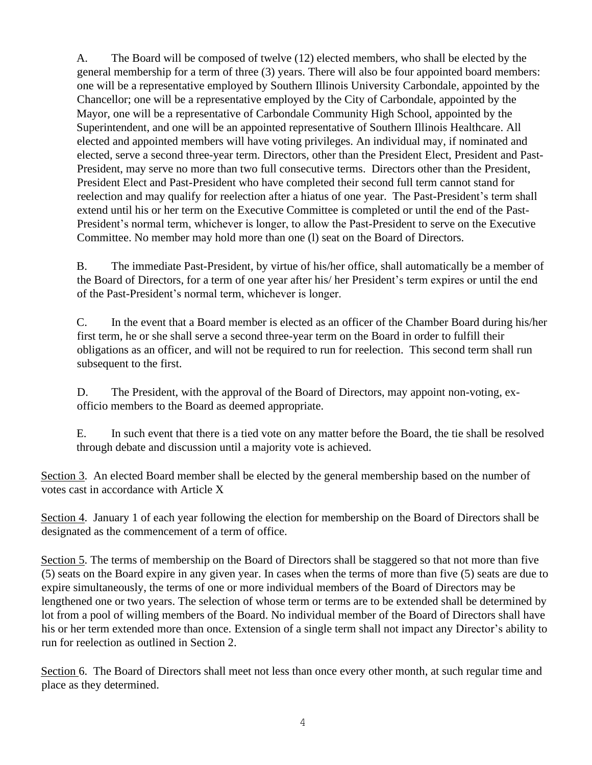A. The Board will be composed of twelve (12) elected members, who shall be elected by the general membership for a term of three (3) years. There will also be four appointed board members: one will be a representative employed by Southern Illinois University Carbondale, appointed by the Chancellor; one will be a representative employed by the City of Carbondale, appointed by the Mayor, one will be a representative of Carbondale Community High School, appointed by the Superintendent, and one will be an appointed representative of Southern Illinois Healthcare. All elected and appointed members will have voting privileges. An individual may, if nominated and elected, serve a second three-year term. Directors, other than the President Elect, President and Past-President, may serve no more than two full consecutive terms. Directors other than the President, President Elect and Past-President who have completed their second full term cannot stand for reelection and may qualify for reelection after a hiatus of one year. The Past-President's term shall extend until his or her term on the Executive Committee is completed or until the end of the Past-President's normal term, whichever is longer, to allow the Past-President to serve on the Executive Committee. No member may hold more than one (l) seat on the Board of Directors.

B. The immediate Past-President, by virtue of his/her office, shall automatically be a member of the Board of Directors, for a term of one year after his/ her President's term expires or until the end of the Past-President's normal term, whichever is longer.

C. In the event that a Board member is elected as an officer of the Chamber Board during his/her first term, he or she shall serve a second three-year term on the Board in order to fulfill their obligations as an officer, and will not be required to run for reelection. This second term shall run subsequent to the first.

D. The President, with the approval of the Board of Directors, may appoint non-voting, exofficio members to the Board as deemed appropriate.

E. In such event that there is a tied vote on any matter before the Board, the tie shall be resolved through debate and discussion until a majority vote is achieved.

Section 3. An elected Board member shall be elected by the general membership based on the number of votes cast in accordance with Article X

Section 4. January 1 of each year following the election for membership on the Board of Directors shall be designated as the commencement of a term of office.

Section 5. The terms of membership on the Board of Directors shall be staggered so that not more than five (5) seats on the Board expire in any given year. In cases when the terms of more than five (5) seats are due to expire simultaneously, the terms of one or more individual members of the Board of Directors may be lengthened one or two years. The selection of whose term or terms are to be extended shall be determined by lot from a pool of willing members of the Board. No individual member of the Board of Directors shall have his or her term extended more than once. Extension of a single term shall not impact any Director's ability to run for reelection as outlined in Section 2.

Section 6. The Board of Directors shall meet not less than once every other month, at such regular time and place as they determined.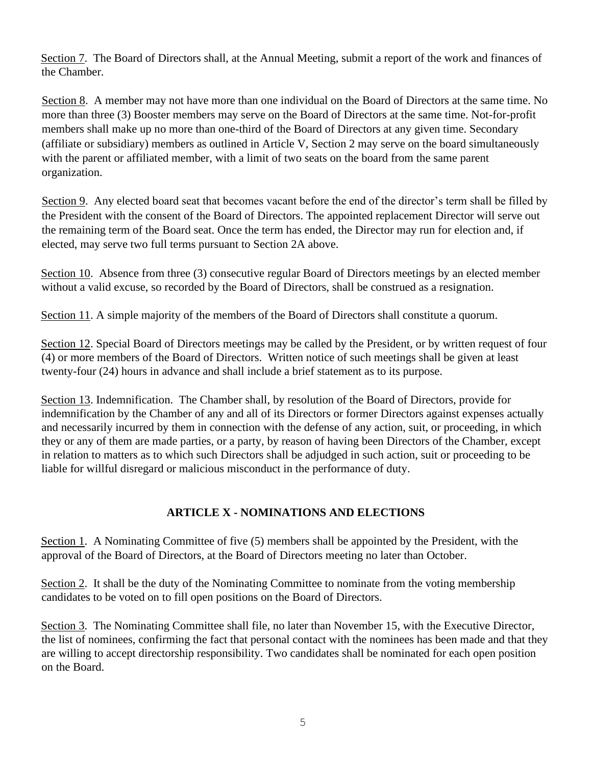Section 7. The Board of Directors shall, at the Annual Meeting, submit a report of the work and finances of the Chamber.

Section 8. A member may not have more than one individual on the Board of Directors at the same time. No more than three (3) Booster members may serve on the Board of Directors at the same time. Not-for-profit members shall make up no more than one-third of the Board of Directors at any given time. Secondary (affiliate or subsidiary) members as outlined in Article V, Section 2 may serve on the board simultaneously with the parent or affiliated member, with a limit of two seats on the board from the same parent organization.

Section 9. Any elected board seat that becomes vacant before the end of the director's term shall be filled by the President with the consent of the Board of Directors. The appointed replacement Director will serve out the remaining term of the Board seat. Once the term has ended, the Director may run for election and, if elected, may serve two full terms pursuant to Section 2A above.

Section 10. Absence from three (3) consecutive regular Board of Directors meetings by an elected member without a valid excuse, so recorded by the Board of Directors, shall be construed as a resignation.

Section 11. A simple majority of the members of the Board of Directors shall constitute a quorum.

Section 12. Special Board of Directors meetings may be called by the President, or by written request of four (4) or more members of the Board of Directors. Written notice of such meetings shall be given at least twenty-four (24) hours in advance and shall include a brief statement as to its purpose.

Section 13. Indemnification. The Chamber shall, by resolution of the Board of Directors, provide for indemnification by the Chamber of any and all of its Directors or former Directors against expenses actually and necessarily incurred by them in connection with the defense of any action, suit, or proceeding, in which they or any of them are made parties, or a party, by reason of having been Directors of the Chamber, except in relation to matters as to which such Directors shall be adjudged in such action, suit or proceeding to be liable for willful disregard or malicious misconduct in the performance of duty.

# **ARTICLE X - NOMINATIONS AND ELECTIONS**

Section 1. A Nominating Committee of five (5) members shall be appointed by the President, with the approval of the Board of Directors, at the Board of Directors meeting no later than October.

Section 2. It shall be the duty of the Nominating Committee to nominate from the voting membership candidates to be voted on to fill open positions on the Board of Directors.

Section 3. The Nominating Committee shall file, no later than November 15, with the Executive Director, the list of nominees, confirming the fact that personal contact with the nominees has been made and that they are willing to accept directorship responsibility. Two candidates shall be nominated for each open position on the Board.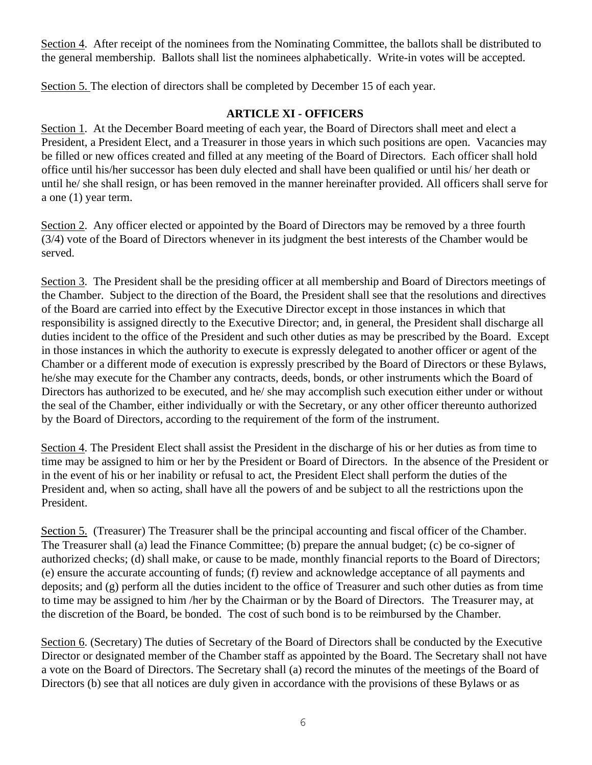Section 4. After receipt of the nominees from the Nominating Committee, the ballots shall be distributed to the general membership. Ballots shall list the nominees alphabetically. Write-in votes will be accepted.

Section 5. The election of directors shall be completed by December 15 of each year.

#### **ARTICLE XI - OFFICERS**

Section 1. At the December Board meeting of each year, the Board of Directors shall meet and elect a President, a President Elect, and a Treasurer in those years in which such positions are open. Vacancies may be filled or new offices created and filled at any meeting of the Board of Directors. Each officer shall hold office until his/her successor has been duly elected and shall have been qualified or until his/ her death or until he/ she shall resign, or has been removed in the manner hereinafter provided. All officers shall serve for a one (1) year term.

Section 2. Any officer elected or appointed by the Board of Directors may be removed by a three fourth (3/4) vote of the Board of Directors whenever in its judgment the best interests of the Chamber would be served.

Section 3. The President shall be the presiding officer at all membership and Board of Directors meetings of the Chamber. Subject to the direction of the Board, the President shall see that the resolutions and directives of the Board are carried into effect by the Executive Director except in those instances in which that responsibility is assigned directly to the Executive Director; and, in general, the President shall discharge all duties incident to the office of the President and such other duties as may be prescribed by the Board. Except in those instances in which the authority to execute is expressly delegated to another officer or agent of the Chamber or a different mode of execution is expressly prescribed by the Board of Directors or these Bylaws, he/she may execute for the Chamber any contracts, deeds, bonds, or other instruments which the Board of Directors has authorized to be executed, and he/ she may accomplish such execution either under or without the seal of the Chamber, either individually or with the Secretary, or any other officer thereunto authorized by the Board of Directors, according to the requirement of the form of the instrument.

Section 4. The President Elect shall assist the President in the discharge of his or her duties as from time to time may be assigned to him or her by the President or Board of Directors. In the absence of the President or in the event of his or her inability or refusal to act, the President Elect shall perform the duties of the President and, when so acting, shall have all the powers of and be subject to all the restrictions upon the President.

Section 5. (Treasurer) The Treasurer shall be the principal accounting and fiscal officer of the Chamber. The Treasurer shall (a) lead the Finance Committee; (b) prepare the annual budget; (c) be co-signer of authorized checks; (d) shall make, or cause to be made, monthly financial reports to the Board of Directors; (e) ensure the accurate accounting of funds; (f) review and acknowledge acceptance of all payments and deposits; and (g) perform all the duties incident to the office of Treasurer and such other duties as from time to time may be assigned to him /her by the Chairman or by the Board of Directors. The Treasurer may, at the discretion of the Board, be bonded. The cost of such bond is to be reimbursed by the Chamber.

Section 6. (Secretary) The duties of Secretary of the Board of Directors shall be conducted by the Executive Director or designated member of the Chamber staff as appointed by the Board. The Secretary shall not have a vote on the Board of Directors. The Secretary shall (a) record the minutes of the meetings of the Board of Directors (b) see that all notices are duly given in accordance with the provisions of these Bylaws or as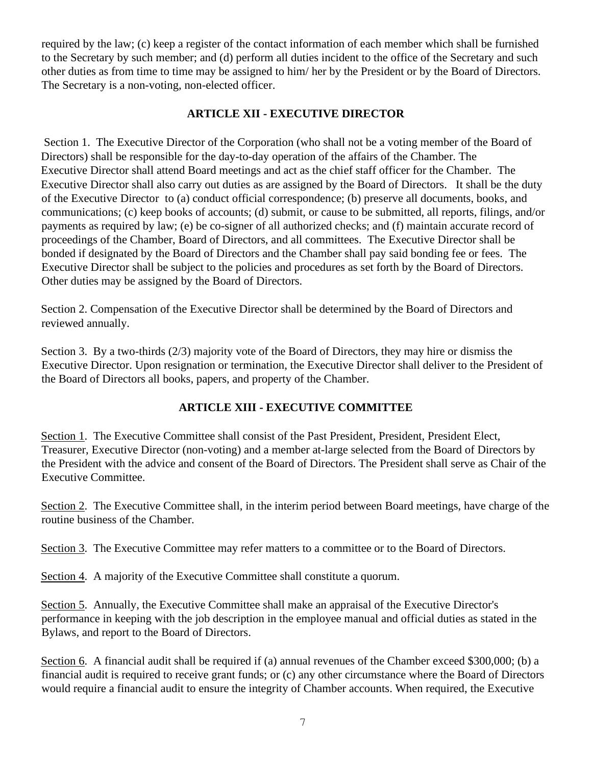required by the law; (c) keep a register of the contact information of each member which shall be furnished to the Secretary by such member; and (d) perform all duties incident to the office of the Secretary and such other duties as from time to time may be assigned to him/ her by the President or by the Board of Directors. The Secretary is a non-voting, non-elected officer.

# **ARTICLE XII - EXECUTIVE DIRECTOR**

Section 1. The Executive Director of the Corporation (who shall not be a voting member of the Board of Directors) shall be responsible for the day-to-day operation of the affairs of the Chamber. The Executive Director shall attend Board meetings and act as the chief staff officer for the Chamber. The Executive Director shall also carry out duties as are assigned by the Board of Directors. It shall be the duty of the Executive Director to (a) conduct official correspondence; (b) preserve all documents, books, and communications; (c) keep books of accounts; (d) submit, or cause to be submitted, all reports, filings, and/or payments as required by law; (e) be co-signer of all authorized checks; and (f) maintain accurate record of proceedings of the Chamber, Board of Directors, and all committees. The Executive Director shall be bonded if designated by the Board of Directors and the Chamber shall pay said bonding fee or fees. The Executive Director shall be subject to the policies and procedures as set forth by the Board of Directors. Other duties may be assigned by the Board of Directors.

Section 2. Compensation of the Executive Director shall be determined by the Board of Directors and reviewed annually.

Section 3. By a two-thirds (2/3) majority vote of the Board of Directors, they may hire or dismiss the Executive Director. Upon resignation or termination, the Executive Director shall deliver to the President of the Board of Directors all books, papers, and property of the Chamber.

# **ARTICLE XIII - EXECUTIVE COMMITTEE**

Section 1. The Executive Committee shall consist of the Past President, President, President Elect, Treasurer, Executive Director (non-voting) and a member at-large selected from the Board of Directors by the President with the advice and consent of the Board of Directors. The President shall serve as Chair of the Executive Committee.

Section 2. The Executive Committee shall, in the interim period between Board meetings, have charge of the routine business of the Chamber.

Section 3. The Executive Committee may refer matters to a committee or to the Board of Directors.

Section 4. A majority of the Executive Committee shall constitute a quorum.

Section 5. Annually, the Executive Committee shall make an appraisal of the Executive Director's performance in keeping with the job description in the employee manual and official duties as stated in the Bylaws, and report to the Board of Directors.

Section 6. A financial audit shall be required if (a) annual revenues of the Chamber exceed \$300,000; (b) a financial audit is required to receive grant funds; or (c) any other circumstance where the Board of Directors would require a financial audit to ensure the integrity of Chamber accounts. When required, the Executive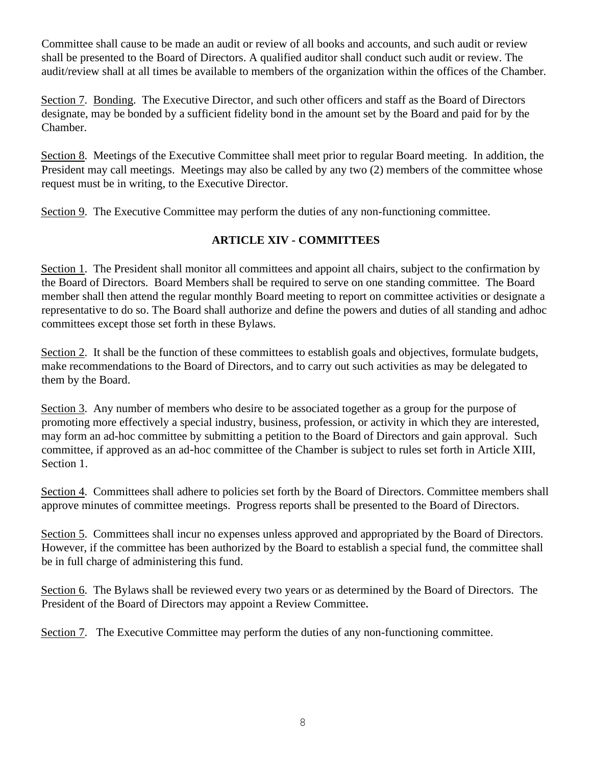Committee shall cause to be made an audit or review of all books and accounts, and such audit or review shall be presented to the Board of Directors. A qualified auditor shall conduct such audit or review. The audit/review shall at all times be available to members of the organization within the offices of the Chamber.

Section 7. Bonding. The Executive Director, and such other officers and staff as the Board of Directors designate, may be bonded by a sufficient fidelity bond in the amount set by the Board and paid for by the Chamber.

Section 8. Meetings of the Executive Committee shall meet prior to regular Board meeting. In addition, the President may call meetings. Meetings may also be called by any two (2) members of the committee whose request must be in writing, to the Executive Director.

Section 9. The Executive Committee may perform the duties of any non-functioning committee.

# **ARTICLE XIV - COMMITTEES**

Section 1. The President shall monitor all committees and appoint all chairs, subject to the confirmation by the Board of Directors. Board Members shall be required to serve on one standing committee. The Board member shall then attend the regular monthly Board meeting to report on committee activities or designate a representative to do so. The Board shall authorize and define the powers and duties of all standing and adhoc committees except those set forth in these Bylaws.

Section 2. It shall be the function of these committees to establish goals and objectives, formulate budgets, make recommendations to the Board of Directors, and to carry out such activities as may be delegated to them by the Board.

Section 3. Any number of members who desire to be associated together as a group for the purpose of promoting more effectively a special industry, business, profession, or activity in which they are interested, may form an ad-hoc committee by submitting a petition to the Board of Directors and gain approval. Such committee, if approved as an ad*-*hoc committee of the Chamber is subject to rules set forth in Article XIII, Section 1.

Section 4. Committees shall adhere to policies set forth by the Board of Directors. Committee members shall approve minutes of committee meetings. Progress reports shall be presented to the Board of Directors.

Section 5. Committees shall incur no expenses unless approved and appropriated by the Board of Directors. However, if the committee has been authorized by the Board to establish a special fund, the committee shall be in full charge of administering this fund.

Section 6. The Bylaws shall be reviewed every two years or as determined by the Board of Directors. The President of the Board of Directors may appoint a Review Committee*.* 

Section 7. The Executive Committee may perform the duties of any non-functioning committee.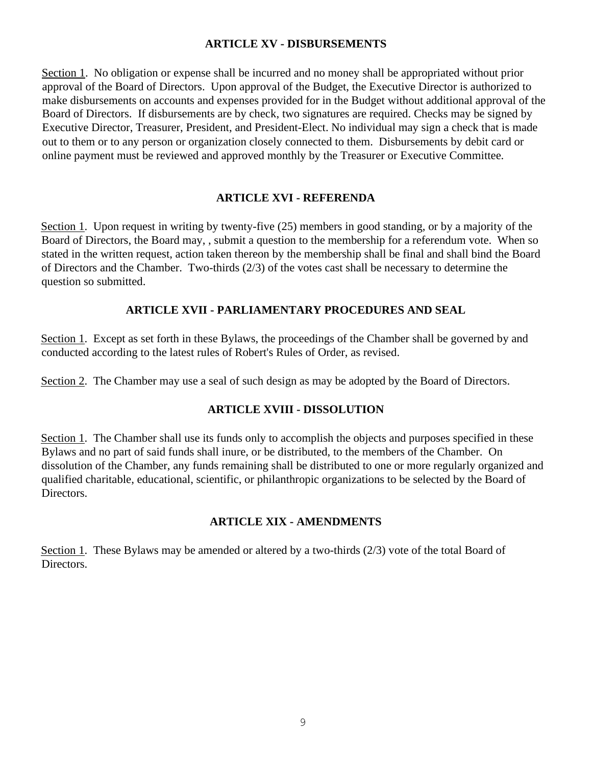#### **ARTICLE XV - DISBURSEMENTS**

Section 1. No obligation or expense shall be incurred and no money shall be appropriated without prior approval of the Board of Directors. Upon approval of the Budget, the Executive Director is authorized to make disbursements on accounts and expenses provided for in the Budget without additional approval of the Board of Directors. If disbursements are by check, two signatures are required. Checks may be signed by Executive Director, Treasurer, President, and President-Elect. No individual may sign a check that is made out to them or to any person or organization closely connected to them. Disbursements by debit card or online payment must be reviewed and approved monthly by the Treasurer or Executive Committee.

#### **ARTICLE XVI - REFERENDA**

Section 1. Upon request in writing by twenty-five (25) members in good standing, or by a majority of the Board of Directors, the Board may, , submit a question to the membership for a referendum vote. When so stated in the written request, action taken thereon by the membership shall be final and shall bind the Board of Directors and the Chamber. Two-thirds (2/3) of the votes cast shall be necessary to determine the question so submitted.

# **ARTICLE XVII - PARLIAMENTARY PROCEDURES AND SEAL**

Section 1. Except as set forth in these Bylaws, the proceedings of the Chamber shall be governed by and conducted according to the latest rules of Robert's Rules of Order, as revised.

Section 2. The Chamber may use a seal of such design as may be adopted by the Board of Directors.

# **ARTICLE XVIII - DISSOLUTION**

Section 1. The Chamber shall use its funds only to accomplish the objects and purposes specified in these Bylaws and no part of said funds shall inure, or be distributed, to the members of the Chamber. On dissolution of the Chamber, any funds remaining shall be distributed to one or more regularly organized and qualified charitable, educational, scientific, or philanthropic organizations to be selected by the Board of Directors.

# **ARTICLE XIX - AMENDMENTS**

Section 1. These Bylaws may be amended or altered by a two-thirds (2/3) vote of the total Board of Directors.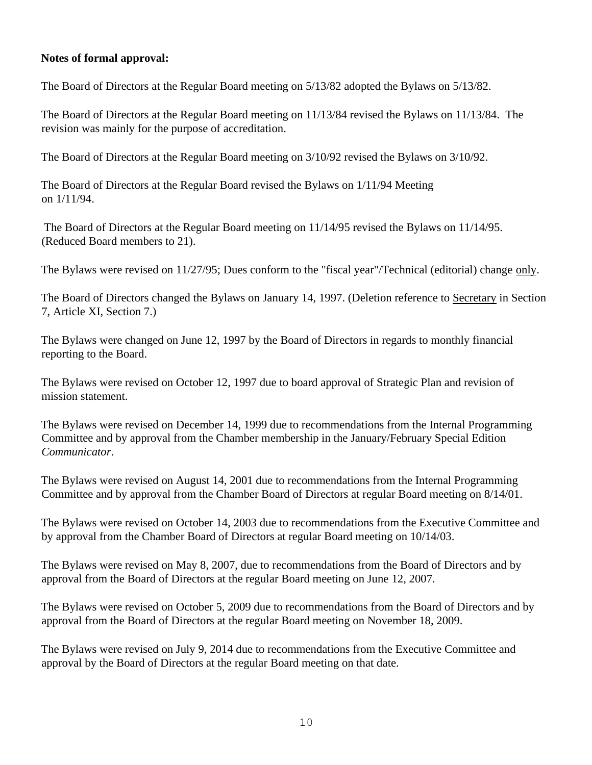#### **Notes of formal approval:**

The Board of Directors at the Regular Board meeting on 5/13/82 adopted the Bylaws on 5/13/82.

The Board of Directors at the Regular Board meeting on 11/13/84 revised the Bylaws on 11/13/84. The revision was mainly for the purpose of accreditation.

The Board of Directors at the Regular Board meeting on 3/10/92 revised the Bylaws on 3/10/92.

The Board of Directors at the Regular Board revised the Bylaws on 1/11/94 Meeting on 1/11/94.

The Board of Directors at the Regular Board meeting on 11/14/95 revised the Bylaws on 11/14/95. (Reduced Board members to 21).

The Bylaws were revised on 11/27/95; Dues conform to the "fiscal year"/Technical (editorial) change only.

The Board of Directors changed the Bylaws on January 14, 1997. (Deletion reference to Secretary in Section 7, Article XI, Section 7.)

The Bylaws were changed on June 12, 1997 by the Board of Directors in regards to monthly financial reporting to the Board.

The Bylaws were revised on October 12, 1997 due to board approval of Strategic Plan and revision of mission statement.

The Bylaws were revised on December 14, 1999 due to recommendations from the Internal Programming Committee and by approval from the Chamber membership in the January/February Special Edition *Communicator*.

The Bylaws were revised on August 14, 2001 due to recommendations from the Internal Programming Committee and by approval from the Chamber Board of Directors at regular Board meeting on 8/14/01.

The Bylaws were revised on October 14, 2003 due to recommendations from the Executive Committee and by approval from the Chamber Board of Directors at regular Board meeting on 10/14/03.

The Bylaws were revised on May 8, 2007, due to recommendations from the Board of Directors and by approval from the Board of Directors at the regular Board meeting on June 12, 2007.

The Bylaws were revised on October 5, 2009 due to recommendations from the Board of Directors and by approval from the Board of Directors at the regular Board meeting on November 18, 2009.

The Bylaws were revised on July 9, 2014 due to recommendations from the Executive Committee and approval by the Board of Directors at the regular Board meeting on that date.